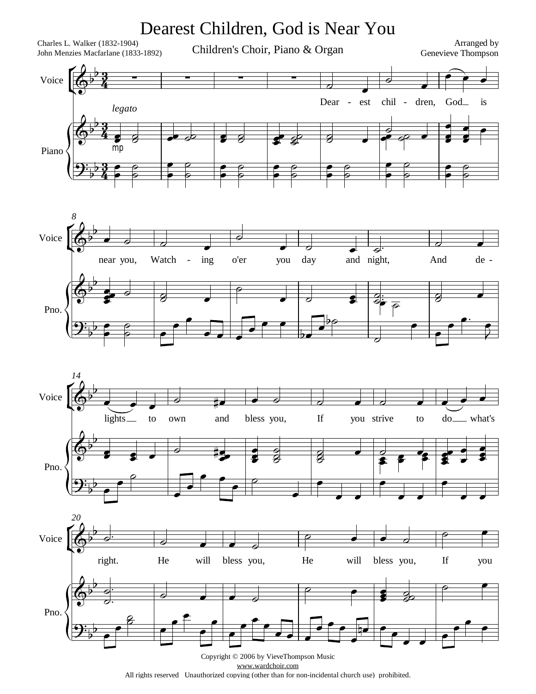## Charles L. Walker (1832-1904) Dearest Children, God is Near You

Arranged by<br>
Children's Choir, Piano & Organ<br>
Genevieve Thompson







[www.wardchoir.com](http://www.wardchoir.com) All rights reserved Unauthorized copying (other than for non-incidental church use) prohibited.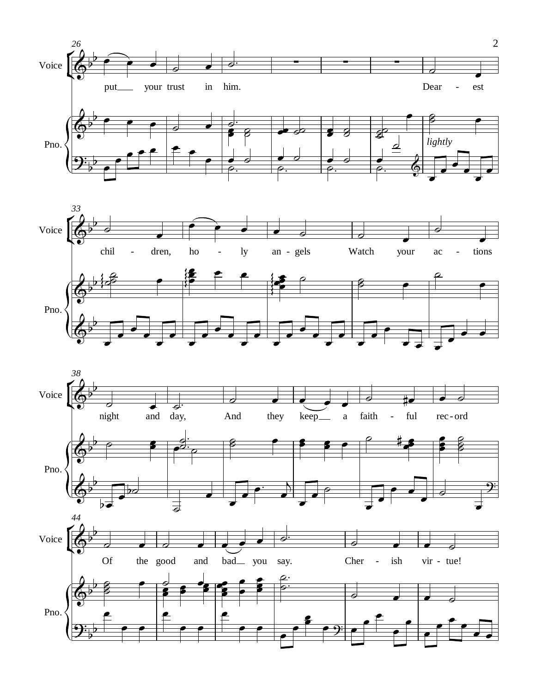



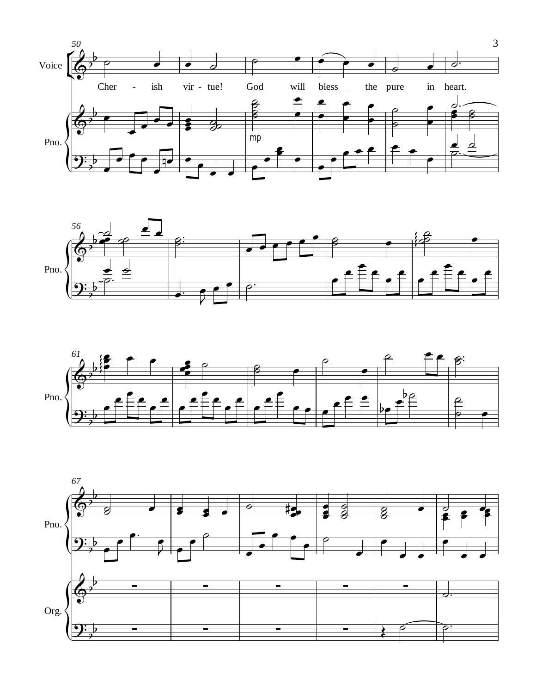





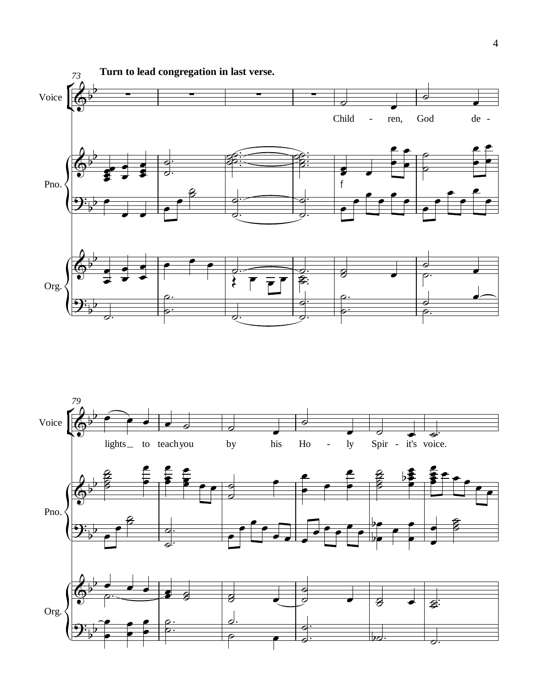

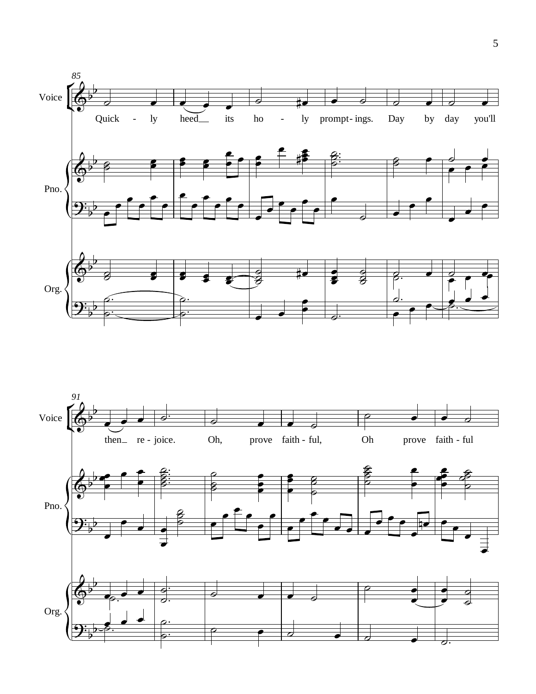